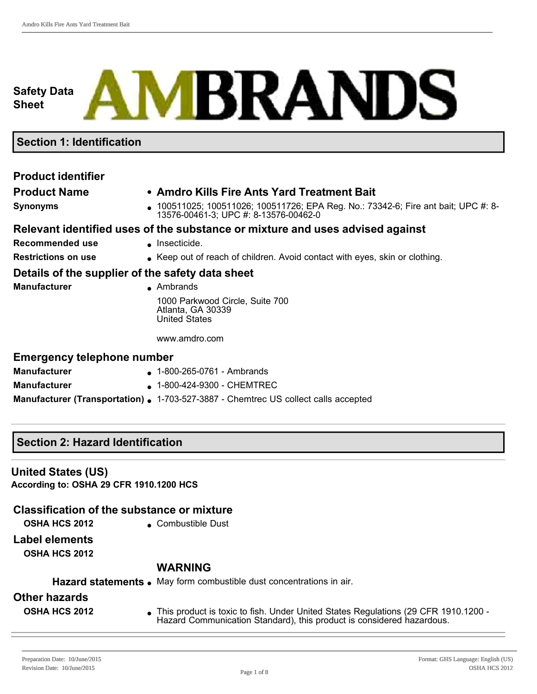# **Safety Data Sheet**

# **MBRANDS**

## **Section 1: Identification**

# **Product identifier**

#### **Product Name • Amdro Kills Fire Ants Yard Treatment Bait**

**Synonyms little 100511025**; 100511026; 100511726; EPA Reg. No.: 73342-6; Fire ant bait; UPC #: 8-13576-00461-3; UPC #: 8-13576-00462-0

#### **Relevant identified uses of the substance or mixture and uses advised against**

- **Recommended use example insecticide.**
- **Restrictions on use label Exercise Avoid Contact with eyes, skin or clothing.**

#### **Details of the supplier of the safety data sheet**

| Manufacturer | • Ambrands                                                                   |
|--------------|------------------------------------------------------------------------------|
|              | 1000 Parkwood Circle, Suite 700<br>Atlanta, GA 30339<br><b>United States</b> |

#### www.amdro.com

#### **Emergency telephone number**

| <b>Manufacturer</b> | $\bullet$ 1-800-265-0761 - Ambrands                                                       |
|---------------------|-------------------------------------------------------------------------------------------|
| <b>Manufacturer</b> | $\bullet$ 1-800-424-9300 - CHEMTREC                                                       |
|                     | <b>Manufacturer (Transportation).</b> 1-703-527-3887 - Chemtrec US collect calls accepted |

## **Section 2: Hazard Identification**

#### **United States (US)**

**According to: OSHA 29 CFR 1910.1200 HCS**

# **Classification of the substance or mixture**

- 
- **OSHA HCS 2012** <br> **e** Combustible Dust

#### **Label elements**

**OSHA HCS 2012**

#### **WARNING**

|                      | Hazard statements. May form combustible dust concentrations in air.                  |
|----------------------|--------------------------------------------------------------------------------------|
| Other hazards        | • This product is toxic to fish. Under United States Regulations (29 CFR 1910.1200 - |
| <b>OSHA HCS 2012</b> | Hazard Communication Standard), this product is considered hazardous.                |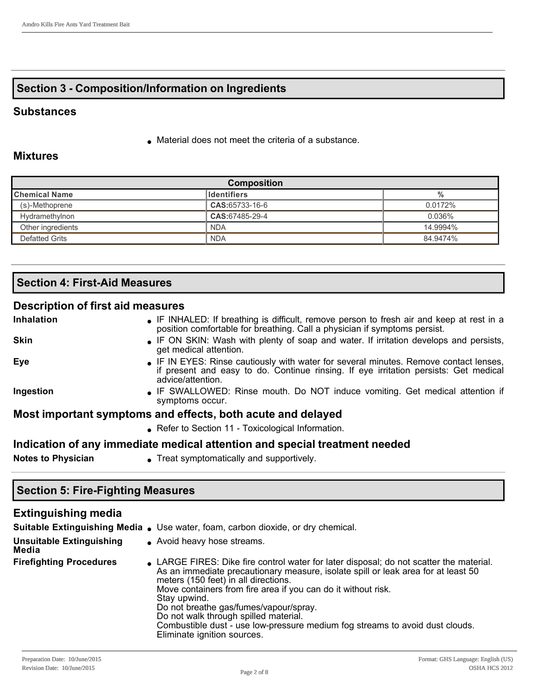## **Section 3 Composition/Information on Ingredients**

#### **Substances**

 $\bullet$  Material does not meet the criteria of a substance.

#### **Mixtures**

| <b>Composition</b>                          |                |          |  |
|---------------------------------------------|----------------|----------|--|
| <b>Chemical Name</b><br><b>I</b> dentifiers | %              |          |  |
| (s)-Methoprene                              | CAS:65733-16-6 | 0.0172%  |  |
| Hydramethylnon                              | CAS:67485-29-4 | 0.036%   |  |
| Other ingredients                           | <b>NDA</b>     | 14.9994% |  |
| Defatted Grits                              | <b>NDA</b>     | 84.9474% |  |

## **Section 4: First-Aid Measures**

#### **Description of first aid measures**

| Inhalation                                                                 | • IF INHALED: If breathing is difficult, remove person to fresh air and keep at rest in a<br>position comfortable for breathing. Call a physician if symptoms persist.                             |  |  |
|----------------------------------------------------------------------------|----------------------------------------------------------------------------------------------------------------------------------------------------------------------------------------------------|--|--|
| Skin                                                                       | • IF ON SKIN: Wash with plenty of soap and water. If irritation develops and persists,<br>get medical attention.                                                                                   |  |  |
| Eye                                                                        | • IF IN EYES: Rinse cautiously with water for several minutes. Remove contact lenses,<br>if present and easy to do. Continue rinsing. If eye irritation persists: Get medical<br>advice/attention. |  |  |
| Ingestion                                                                  | • IF SWALLOWED: Rinse mouth. Do NOT induce vomiting. Get medical attention if<br>symptoms occur.                                                                                                   |  |  |
|                                                                            | Most important symptoms and effects, both acute and delayed                                                                                                                                        |  |  |
|                                                                            | • Refer to Section 11 - Toxicological Information.                                                                                                                                                 |  |  |
| Indication of any immediate medical attention and special treatment needed |                                                                                                                                                                                                    |  |  |
|                                                                            |                                                                                                                                                                                                    |  |  |

**Notes to Physician existing the Symptomatically and supportively.** 

#### **Section 5: Fire-Fighting Measures**

#### **Extinguishing media Suitable Extinguishing Media .** Use water, foam, carbon dioxide, or dry chemical. **Unsuitable Extinguishing Media** • Avoid heavy hose streams. **Firefighting Procedures I** LARGE FIRES: Dike fire control water for later disposal; do not scatter the material. As an immediate precautionary measure, isolate spill or leak area for at least 50 meters (150 feet) in all directions. Move containers from fire area if you can do it without risk. Stay upwind. Do not breathe gas/fumes/vapour/spray. Do not walk through spilled material. Combustible dust - use low-pressure medium fog streams to avoid dust clouds. Eliminate ignition sources.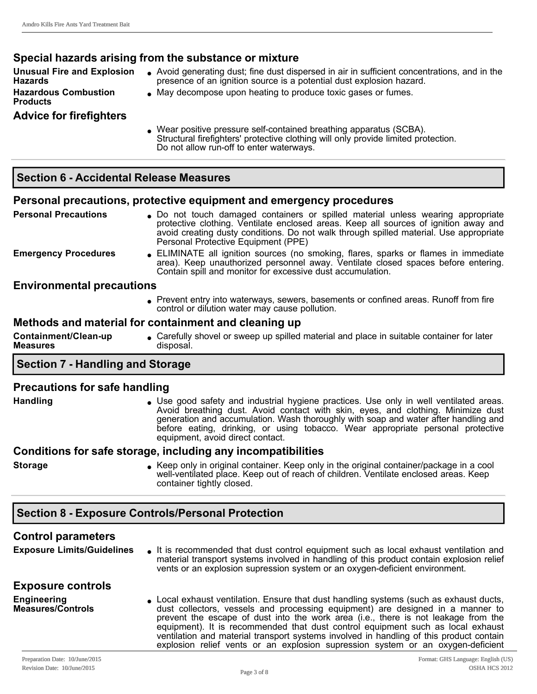#### **Special hazards arising from the substance or mixture Unusual Fire and Explosion Hazards** <sup>l</sup> Avoid generating dust; fine dust dispersed in air in sufficient concentrations, and in the presence of an ignition source is a potential dust explosion hazard. **Hazardous Combustion Products** <sup>l</sup> May decompose upon heating to produce toxic gases or fumes. **Advice for firefighters** Wear positive pressure self-contained breathing apparatus (SCBA). Structural firefighters' protective clothing will only provide limited protection. Do not allow run-off to enter waterways. **Section 6 Accidental Release Measures**

## **Personal precautions, protective equipment and emergency procedures**

**Personal Precautions** and touch damaged containers or spilled material unless wearing appropriate protective clothing. Ventilate enclosed areas. Keep all sources of ignition away and avoid creating dusty conditions. Do not walk through spilled material. Use appropriate Personal Protective Equipment (PPE) Emergency Procedures . ELIMINATE all ignition sources (no smoking, flares, sparks or flames in immediate area). Keep unauthorized personnel away. Ventilate closed spaces before entering. Contain spill and monitor for excessive dust accumulation. **Environmental precautions**

> • Prevent entry into waterways, sewers, basements or confined areas. Runoff from fire control or dilution water may cause pollution.

## **Methods and material for containment and cleaning up**

**Containment/Clean-up Measures** • Carefully shovel or sweep up spilled material and place in suitable container for later disposal.

# **Section 7 Handling and Storage**

## **Precautions for safe handling**

Handling **less in Liberal States I Use good safety** and industrial hygiene practices. Use only in well ventilated areas. Avoid breathing dust. Avoid contact with skin, eyes, and clothing. Minimize dust generation and accumulation. Wash thoroughly with soap and water after handling and before eating, drinking, or using tobacco. Wear appropriate personal protective equipment, avoid direct contact.

#### **Conditions for safe storage, including any incompatibilities**

**Storage lates in Acceptual Container.** Keep only in the original container/package in a cool well-ventilated place. Keep out of reach of children. Ventilate enclosed areas. Keep container tightly closed.

# **Section 8 Exposure Controls/Personal Protection**

## **Control parameters**

**Exposure Limits/Guidelines** lt is recommended that dust control equipment such as local exhaust ventilation and material transport systems involved in handling of this product contain explosion relief vents or an explosion supression system or an oxygen-deficient environment.

## **Exposure controls**

**Engineering Measures/Controls** Local exhaust ventilation. Ensure that dust handling systems (such as exhaust ducts, dust collectors, vessels and processing equipment) are designed in a manner to prevent the escape of dust into the work area (i.e., there is not leakage from the equipment). It is recommended that dust control equipment such as local exhaust ventilation and material transport systems involved in handling of this product contain explosion relief vents or an explosion supression system or an oxygen-deficient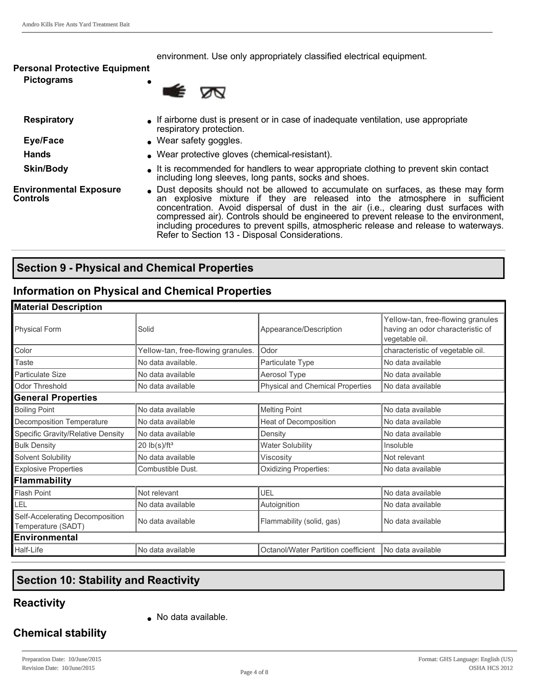environment. Use only appropriately classified electrical equipment.

#### **Personal Protective Equipment**

**Pictograms** 



- 
- 
- 
- **Respiratory If airborne dust is present or in case of inadequate ventilation, use appropriate** respiratory protection.
- **Eye/Face lacks C** Wear safety goggles.
- **Hands lack and <b>l** Wear protective gloves (chemical-resistant).
- **Skin/Body let is recommended for handlers to wear appropriate clothing to prevent skin contact** including long sleeves, long pants, socks and shoes.

**Environmental Exposure Controls**

• Dust deposits should not be allowed to accumulate on surfaces, as these may form an explosive mixture if they are released into the atmosphere in sufficient concentration. Avoid dispersal of dust in the air (i.e., clearing dust surfaces with compressed air). Controls should be engineered to prevent release to the environment, including procedures to prevent spills, atmospheric release and release to waterways. Refer to Section 13 - Disposal Considerations.

## **Section 9 Physical and Chemical Properties**

#### **Information on Physical and Chemical Properties**

| <b>Material Description</b>                           |                                                                        |                                         |                                                                                         |  |
|-------------------------------------------------------|------------------------------------------------------------------------|-----------------------------------------|-----------------------------------------------------------------------------------------|--|
| <b>Physical Form</b>                                  | Solid                                                                  | Appearance/Description                  | Yellow-tan, free-flowing granules<br>having an odor characteristic of<br>vegetable oil. |  |
| Color                                                 | Yellow-tan, free-flowing granules.                                     | Odor                                    | characteristic of vegetable oil.                                                        |  |
| Taste                                                 | No data available.                                                     | Particulate Type                        | No data available                                                                       |  |
| <b>Particulate Size</b>                               | No data available                                                      | Aerosol Type                            | No data available                                                                       |  |
| Odor Threshold                                        | No data available                                                      | <b>Physical and Chemical Properties</b> | No data available                                                                       |  |
| <b>General Properties</b>                             |                                                                        |                                         |                                                                                         |  |
| <b>Boiling Point</b>                                  | No data available                                                      | <b>Melting Point</b>                    | No data available                                                                       |  |
| Decomposition Temperature                             | No data available                                                      | Heat of Decomposition                   | No data available                                                                       |  |
| Specific Gravity/Relative Density                     | No data available                                                      | Density                                 | No data available                                                                       |  |
| <b>Bulk Density</b>                                   | $20$ lb(s)/ft <sup>3</sup>                                             | <b>Water Solubility</b>                 | Insoluble                                                                               |  |
| Solvent Solubility                                    | No data available                                                      | Viscosity                               | Not relevant                                                                            |  |
| <b>Explosive Properties</b>                           | <b>Oxidizing Properties:</b><br>Combustible Dust.<br>No data available |                                         |                                                                                         |  |
| Flammability                                          |                                                                        |                                         |                                                                                         |  |
| <b>Flash Point</b>                                    | Not relevant                                                           | UEL                                     | No data available                                                                       |  |
| LEL                                                   | No data available                                                      | Autoignition                            | No data available                                                                       |  |
| Self-Accelerating Decomposition<br>Temperature (SADT) | No data available                                                      | Flammability (solid, gas)               | No data available                                                                       |  |
| <b>IEnvironmental</b>                                 |                                                                        |                                         |                                                                                         |  |
| Half-Life                                             | No data available                                                      | Octanol/Water Partition coefficient     | No data available                                                                       |  |

# **Section 10: Stability and Reactivity**

## **Reactivity**

 $\bullet$  No data available.

# **Chemical stability**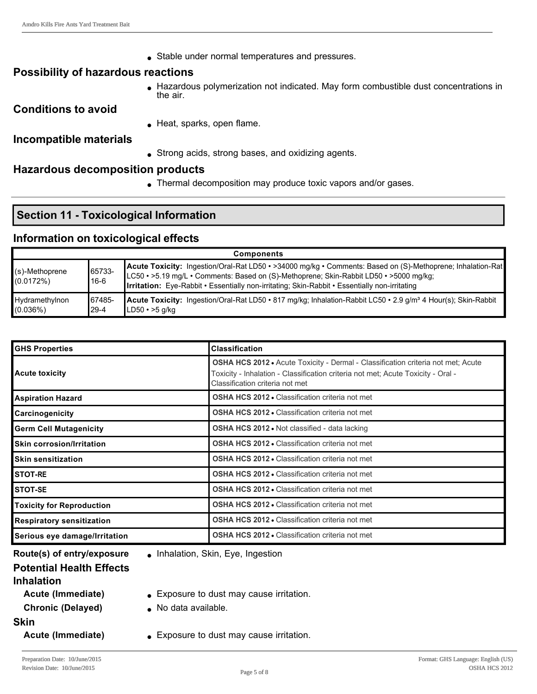• Stable under normal temperatures and pressures.

#### **Possibility of hazardous reactions**

<sup>l</sup> Hazardous polymerization not indicated. May form combustible dust concentrations in the air.

#### **Conditions to avoid**

 $\bullet$  Heat, sparks, open flame.

#### **Incompatible materials**

• Strong acids, strong bases, and oxidizing agents.

#### **Hazardous decomposition products**

• Thermal decomposition may produce toxic vapors and/or gases.

## **Section 11 - Toxicological Information**

## **Information on toxicological effects**

| <b>Components</b>           |                     |                                                                                                                                                                                                                                                                                                              |  |
|-----------------------------|---------------------|--------------------------------------------------------------------------------------------------------------------------------------------------------------------------------------------------------------------------------------------------------------------------------------------------------------|--|
| (s)-Methoprene<br>(0.0172%) | 65733-<br>$16-6$    | Acute Toxicity: Ingestion/Oral-Rat LD50 • >34000 mg/kg • Comments: Based on (S)-Methoprene; Inhalation-Rat<br>LC50 • >5.19 mg/L • Comments: Based on (S)-Methoprene; Skin-Rabbit LD50 • >5000 mg/kg;<br><b>Irritation:</b> Eye-Rabbit • Essentially non-irritating; Skin-Rabbit • Essentially non-irritating |  |
| Hydramethylnon<br>(0.036%)  | 167485-<br>$29 - 4$ | <b>Acute Toxicity:</b> Ingestion/Oral-Rat LD50 • 817 mg/kg; Inhalation-Rabbit LC50 • 2.9 g/m <sup>3</sup> 4 Hour(s); Skin-Rabbit<br>$LD50 \cdot >5$ a/ka                                                                                                                                                     |  |

| <b>IGHS Properties</b>             | <b>Classification</b>                                                                                                                                                                                          |  |
|------------------------------------|----------------------------------------------------------------------------------------------------------------------------------------------------------------------------------------------------------------|--|
| Acute toxicity                     | <b>OSHA HCS 2012 •</b> Acute Toxicity - Dermal - Classification criteria not met; Acute<br>Toxicity - Inhalation - Classification criteria not met; Acute Toxicity - Oral -<br>Classification criteria not met |  |
| Aspiration Hazard                  | <b>OSHA HCS 2012 • Classification criteria not met</b>                                                                                                                                                         |  |
| <b>Carcinogenicity</b>             | <b>OSHA HCS 2012 • Classification criteria not met</b>                                                                                                                                                         |  |
| <b>Germ Cell Mutagenicity</b>      | <b>OSHA HCS 2012 • Not classified - data lacking</b>                                                                                                                                                           |  |
| <b>I</b> Skin corrosion/Irritation | <b>OSHA HCS 2012 • Classification criteria not met</b>                                                                                                                                                         |  |
| <b>I</b> Skin sensitization        | <b>OSHA HCS 2012 • Classification criteria not met</b>                                                                                                                                                         |  |
| <b>STOT-RE</b>                     | <b>OSHA HCS 2012 - Classification criteria not met</b>                                                                                                                                                         |  |
| ISTOT-SE                           | <b>OSHA HCS 2012 • Classification criteria not met</b>                                                                                                                                                         |  |
| <b>Toxicity for Reproduction</b>   | <b>OSHA HCS 2012 • Classification criteria not met</b>                                                                                                                                                         |  |
| <b>Respiratory sensitization</b>   | <b>OSHA HCS 2012 • Classification criteria not met</b>                                                                                                                                                         |  |
| Serious eye damage/Irritation      | <b>OSHA HCS 2012 - Classification criteria not met</b>                                                                                                                                                         |  |

**Route(s) of entry/exposure** . Inhalation, Skin, Eye, Ingestion

#### **Potential Health Effects Inhalation**

- **Acute (Immediate)** . Exposure to dust may cause irritation. **Chronic (Delayed)** . No data available.
- **Skin**
- 
- **Acute (Immediate)** Exposure to dust may cause irritation.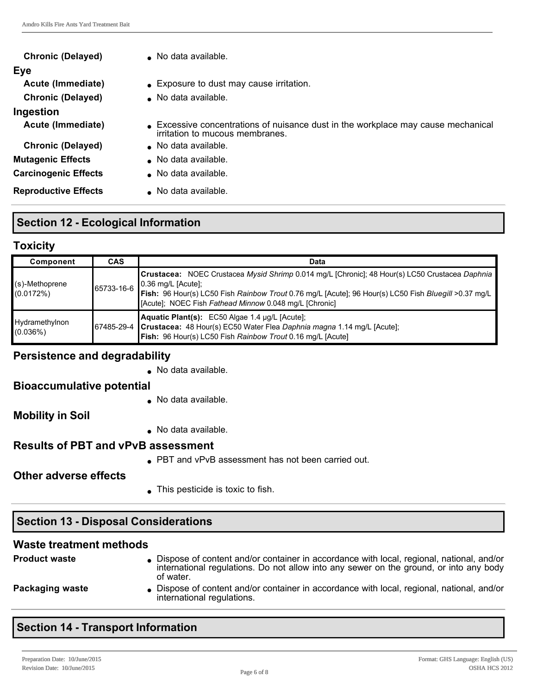| <b>Chronic (Delayed)</b>    | No data available.                                                                                                 |
|-----------------------------|--------------------------------------------------------------------------------------------------------------------|
| Eye                         |                                                                                                                    |
| Acute (Immediate)           | • Exposure to dust may cause irritation.                                                                           |
| <b>Chronic (Delayed)</b>    | No data available.                                                                                                 |
| Ingestion                   |                                                                                                                    |
| Acute (Immediate)           | Excessive concentrations of nuisance dust in the workplace may cause mechanical<br>irritation to mucous membranes. |
| <b>Chronic (Delayed)</b>    | ■ No data available.                                                                                               |
| <b>Mutagenic Effects</b>    | No data available.                                                                                                 |
| <b>Carcinogenic Effects</b> | • No data available.                                                                                               |
| <b>Reproductive Effects</b> | ■ No data available.                                                                                               |

# **Section 12 - Ecological Information**

## **Toxicity**

| Component                      | <b>CAS</b> | Data                                                                                                                                                                                                                                                                                                  |
|--------------------------------|------------|-------------------------------------------------------------------------------------------------------------------------------------------------------------------------------------------------------------------------------------------------------------------------------------------------------|
| $(s)$ -Methoprene<br>(0.0172%) | 65733-16-6 | <b>Crustacea:</b> NOEC Crustacea Mysid Shrimp 0.014 mg/L [Chronic]; 48 Hour(s) LC50 Crustacea Daphnia<br>$\vert$ 0.36 mg/L [Acute];<br>Fish: 96 Hour(s) LC50 Fish Rainbow Trout 0.76 mg/L [Acute]; 96 Hour(s) LC50 Fish Bluegill >0.37 mg/L<br>[Acute]; NOEC Fish Fathead Minnow 0.048 mg/L [Chronic] |
| Hydramethylnon<br>(0.036%)     |            | Aquatic Plant(s): EC50 Algae 1.4 µg/L [Acute];<br>67485-29-4 Crustacea: 48 Hour(s) EC50 Water Flea Daphnia magna 1.14 mg/L [Acute];<br>Fish: 96 Hour(s) LC50 Fish Rainbow Trout 0.16 mg/L [Acute]                                                                                                     |

## **Persistence and degradability**

 $\bullet$  No data available.

## **Bioaccumulative potential**

 $\bullet$  No data available.

# **Mobility in Soil**

 $\bullet$  No data available.

# **Results of PBT and vPvB assessment**

**PBT and vPvB assessment has not been carried out.** 

# **Other adverse effects**

 $\bullet$  This pesticide is toxic to fish.

# **Section 13 - Disposal Considerations**

# **Waste treatment methods**

| <b>Product waste</b> | Dispose of content and/or container in accordance with local, regional, national, and/or<br>international regulations. Do not allow into any sewer on the ground, or into any body<br>of water. |
|----------------------|-------------------------------------------------------------------------------------------------------------------------------------------------------------------------------------------------|
| Packaging waste      | Dispose of content and/or container in accordance with local, regional, national, and/or<br>international regulations.                                                                          |

# **Section 14 - Transport Information**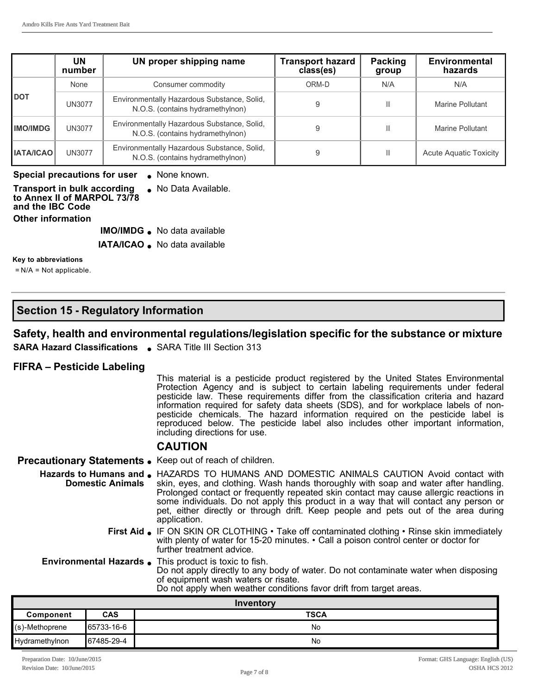|                  | UN<br>number  | UN proper shipping name                                                         | <b>Transport hazard</b><br>class(es) | Packing<br>group | <b>Environmental</b><br>hazards |
|------------------|---------------|---------------------------------------------------------------------------------|--------------------------------------|------------------|---------------------------------|
|                  | None          | Consumer commodity                                                              | ORM-D                                | N/A              | N/A                             |
| <b>DOT</b>       | UN3077        | Environmentally Hazardous Substance, Solid,<br>N.O.S. (contains hydramethylnon) | 9                                    | Ш                | Marine Pollutant                |
| <b>IMO/IMDG</b>  | UN3077        | Environmentally Hazardous Substance, Solid,<br>N.O.S. (contains hydramethylnon) | 9                                    | Ш                | Marine Pollutant                |
| <b>IATA/ICAO</b> | <b>UN3077</b> | Environmentally Hazardous Substance, Solid,<br>N.O.S. (contains hydramethylnon) | 9                                    | Ш                | <b>Acute Aquatic Toxicity</b>   |

#### **Special precautions for user** • None known.

| Transport in bulk according<br>to Annex II of MARPOL 73/78 | • No Data Available. |
|------------------------------------------------------------|----------------------|
| and the IBC Code                                           |                      |
| Other information                                          |                      |

- **IMO/IMDG** . No data available
- **IATA/ICAO** . No data available

#### **Key to abbreviations**

 $=N/A = Not applicable.$ 

## **Section 15 Regulatory Information**

#### **Safety, health and environmental regulations/legislation specific for the substance or mixture**

**SARA Hazard Classifications** . SARA Title III Section 313

#### **FIFRA – Pesticide Labeling**

This material is a pesticide product registered by the United States Environmental Protection Agency and is subject to certain labeling requirements under federal pesticide law. These requirements differ from the classification criteria and hazard information required for safety data sheets (SDS), and for workplace labels of nonpesticide chemicals. The hazard information required on the pesticide label is reproduced below. The pesticide label also includes other important information, including directions for use.

#### **CAUTION**

**Precautionary Statements.** Keep out of reach of children.

Hazards to Humans and  $\bullet$  HAZARDS TO HUMANS AND DOMESTIC ANIMALS CAUTION Avoid contact with **Domestic Animals** skin, eyes, and clothing. Wash hands thoroughly with soap and water after handling. Prolonged contact or frequently repeated skin contact may cause allergic reactions in some individuals. Do not apply this product in a way that will contact any person or pet, either directly or through drift. Keep people and pets out of the area during application.

> **First Aid** . IF ON SKIN OR CLOTHING • Take off contaminated clothing • Rinse skin immediately with plenty of water for 15-20 minutes. • Call a poison control center or doctor for further treatment advice.

**Environmental Hazards** . This product is toxic to fish. Do not apply directly to any body of water. Do not contaminate water when disposing of equipment wash waters or risate.

|  |  | Do not apply when weather conditions favor drift from target areas. |
|--|--|---------------------------------------------------------------------|
|  |  |                                                                     |

| Inventory         |            |             |  |  |
|-------------------|------------|-------------|--|--|
| Component         | <b>CAS</b> | <b>TSCA</b> |  |  |
| $(s)$ -Methoprene | 65733-16-6 | No          |  |  |
| Hydramethylnon    | 67485-29-4 | No          |  |  |